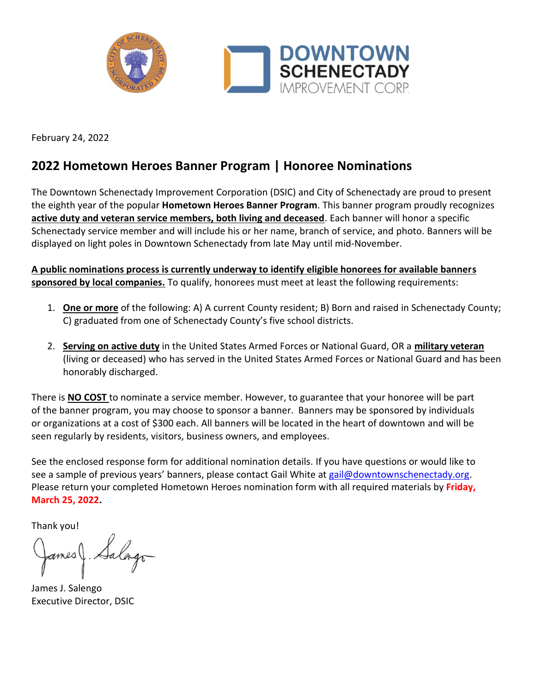

February 24, 2022

## **2022 Hometown Heroes Banner Program | Honoree Nominations**

The Downtown Schenectady Improvement Corporation (DSIC) and City of Schenectady are proud to present the eighth year of the popular **Hometown Heroes Banner Program**. This banner program proudly recognizes **active duty and veteran service members, both living and deceased**. Each banner will honor a specific Schenectady service member and will include his or her name, branch of service, and photo. Banners will be displayed on light poles in Downtown Schenectady from late May until mid-November.

**A public nominations process is currently underway to identify eligible honorees for available banners sponsored by local companies.** To qualify, honorees must meet at least the following requirements:

- 1. **One or more** of the following: A) A current County resident; B) Born and raised in Schenectady County; C) graduated from one of Schenectady County's five school districts.
- 2. **Serving on active duty** in the United States Armed Forces or National Guard, OR a **military veteran** (living or deceased) who has served in the United States Armed Forces or National Guard and has been honorably discharged.

There is **NO COST** to nominate a service member. However, to guarantee that your honoree will be part of the banner program, you may choose to sponsor a banner. Banners may be sponsored by individuals or organizations at a cost of \$300 each. All banners will be located in the heart of downtown and will be seen regularly by residents, visitors, business owners, and employees.

See the enclosed response form for additional nomination details. If you have questions or would like to see a sample of previous years' banners, please contact Gail White at [gail@downtownschenectady.org.](file://///server/Company/EEM/Banner%20Program/Banners/2019/Letters/gail@downtownschenectady.org) Please return your completed Hometown Heroes nomination form with all required materials by **Friday, March 25, 2022.**

Thank you!

ames

James J. Salengo Executive Director, DSIC